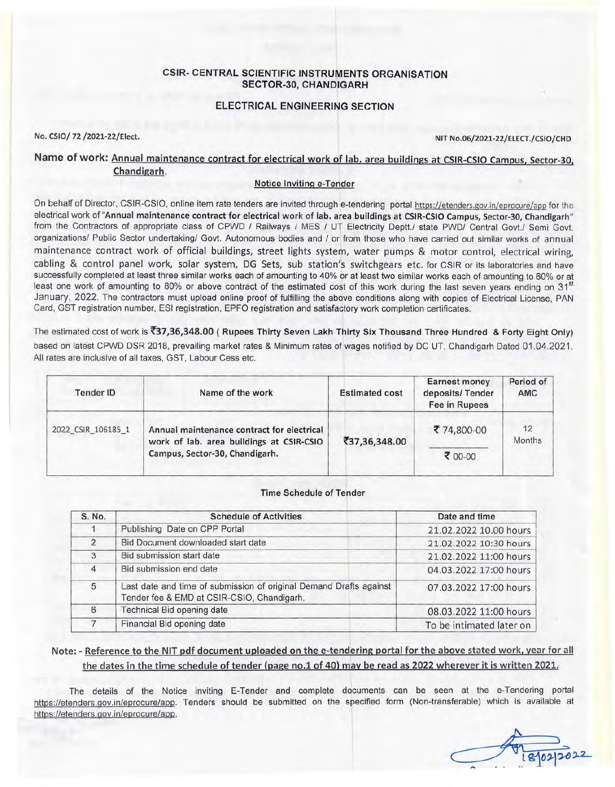### CSIR- CENTRAL SCIENTIFIC INSTRUMENTS ORGANISATION SECTOR-30, CHANDIGARH

### ELECTRICAL ENGINEERING SECTION

No. CSIO/ 72 /2021-22/Elect. NIT No.06/2021-22/ELECT./CSIO/CHD

### Name of work: Annual maintenance contract for electrical work of lab. area buildings at CSIR-CSIO Campus, Sector-30, Chandigarh.

### Notice Inviting e-Tender

On behalf of Director, CSIR-CSIO, online item rate tenders are invited through e-tendering portal https://etenders.gov.in/eprocure/app for the electrical work of "Annual maintenance contract for electrical work of lab. area buildings at CSIR-CSIO Campus, Sector-30, Chandigarh" from the Contractors of appropriate class of CPWD / Railways / MES / UT Electricity Deptt./ state PWD/ Central Govt./ Semi Govt. organizations/ Public Sector undertaking/ Govt. Autonomous bodies and / or from those who have carried out similar works of annual maintenance contract work of official buildings, street lights system, water pumps & motor control, electrical wiring, cabling & control panel work, solar system, DG Sets, sub station's switchgears etc. for CSIR or its laboratories and have successfully completed at least three similar works each of amounting to 40% or at least two similar works each of amounting to 60% or at least one work of amounting to 80% or above contract of the estimated cost of this work during the last seven years ending on 31<sup>st</sup> January, 2022. The contractors must upload online proof of fulfilling the above conditions along with copies of Electrical License, PAN Card, GST registration number, ESI registration, EPFO registration and satisfactory work completion certificates.

The estimated cost of work is ₹37,36,348.00 (Rupees Thirty Seven Lakh Thirty Six Thousand Three Hundred & Forty Eight Only) based on latest CPWO DSR 2018, prevailing market rates & Minimum rates of wages notified by DC UT, Chandigarh Dated 01.04.2021 . All rates are inclusive of all taxes, GST, Labour Cess etc.

| Name of the work                                                                                                         | <b>Estimated cost</b> | <b>Earnest money</b><br>deposits/ Tender<br>Fee in Rupees | Period of<br>AMC |
|--------------------------------------------------------------------------------------------------------------------------|-----------------------|-----------------------------------------------------------|------------------|
| Annual maintenance contract for electrical<br>work of lab. area buildings at CSIR-CSIO<br>Campus, Sector-30, Chandigarh. | ₹37,36,348.00         | ₹74,800-00                                                | 12<br>Months     |
|                                                                                                                          |                       | ₹ 00-00                                                   |                  |
|                                                                                                                          |                       |                                                           |                  |

#### Time Schedule of Tender

| S. No.        | <b>Schedule of Activities</b>                                                                                    | Date and time            |
|---------------|------------------------------------------------------------------------------------------------------------------|--------------------------|
|               | Publishing Date on CPP Portal                                                                                    | 21.02.2022 10.00 hours   |
| $\mathcal{D}$ | Bid Document downloaded start date                                                                               | 21.02.2022 10:30 hours   |
| 3             | Bid submission start date                                                                                        | 21.02.2022 11:00 hours   |
| 4             | Bid submission end date                                                                                          | 04.03.2022 17:00 hours   |
| 5             | Last date and time of submission of original Demand Drafts against<br>Tender fee & EMD at CSIR-CSIO, Chandigarh. | 07.03.2022 17:00 hours   |
| 6             | <b>Technical Bid opening date</b>                                                                                | 08.03.2022 11:00 hours   |
|               | Financial Bid opening date                                                                                       | To be intimated later on |

## Note: - Reference to the NIT pdf document uploaded on the e-tendering portal for the above stated work, year for all the dates in the time schedule of tender (page no.1 of 40) may be read as 2022 wherever it is written 2021.

The details of the Notice inviting E-Tender and complete documents can be seen at the e-Tendering portal https://etenders .qov.in/eprocure/app. Tenders should be submitted on the specified form (Non-transferable) which is available at https://etenders.qov.in/eprocure/app,